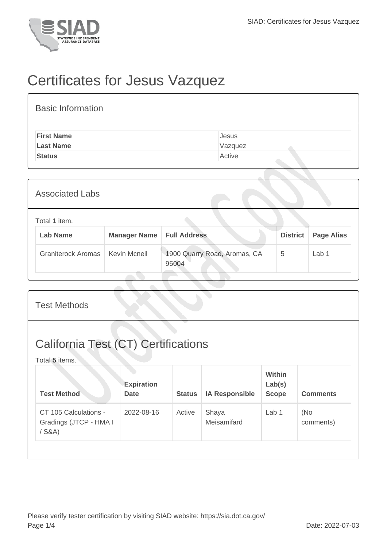

## Certificates for Jesus Vazquez

| <b>Basic Information</b> |         |
|--------------------------|---------|
| <b>First Name</b>        | Jesus   |
| <b>Last Name</b>         | Vazquez |
| <b>Status</b>            | Active  |
|                          |         |

| <b>Associated Labs</b>           |                     |                                       |                 |                   |
|----------------------------------|---------------------|---------------------------------------|-----------------|-------------------|
| Total 1 item.<br><b>Lab Name</b> | <b>Manager Name</b> | <b>Full Address</b>                   | <b>District</b> | <b>Page Alias</b> |
| <b>Graniterock Aromas</b>        | Kevin Mcneil        | 1900 Quarry Road, Aromas, CA<br>95004 | 5               | Lab 1             |

| <b>Test Methods</b>                                          |                                  |               |                       |                                         |                  |  |
|--------------------------------------------------------------|----------------------------------|---------------|-----------------------|-----------------------------------------|------------------|--|
| <b>California Test (CT) Certifications</b><br>Total 5 items. |                                  |               |                       |                                         |                  |  |
| <b>Test Method</b>                                           | <b>Expiration</b><br><b>Date</b> | <b>Status</b> | <b>IA Responsible</b> | <b>Within</b><br>Lab(s)<br><b>Scope</b> | <b>Comments</b>  |  |
| CT 105 Calculations -<br>Gradings (JTCP - HMA I<br>$/$ S&A)  | 2022-08-16                       | Active        | Shaya<br>Meisamifard  | Lab <sub>1</sub>                        | (No<br>comments) |  |
|                                                              |                                  |               |                       |                                         |                  |  |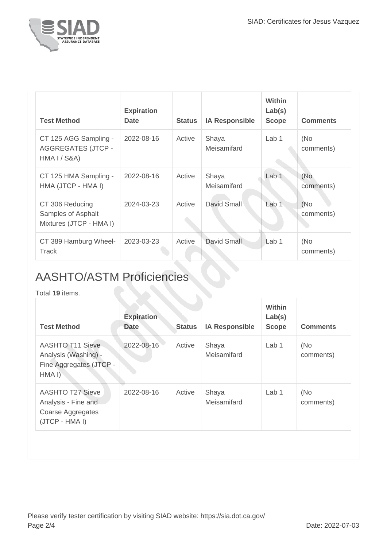

| <b>Test Method</b>                                                 | <b>Expiration</b><br><b>Date</b> | <b>Status</b> | <b>IA Responsible</b> | <b>Within</b><br>Lab(s)<br><b>Scope</b> | <b>Comments</b>  |
|--------------------------------------------------------------------|----------------------------------|---------------|-----------------------|-----------------------------------------|------------------|
| CT 125 AGG Sampling -<br><b>AGGREGATES (JTCP -</b><br>HMA I / S&A) | 2022-08-16                       | Active        | Shaya<br>Meisamifard  | Lab 1                                   | (No<br>comments) |
| CT 125 HMA Sampling -<br>HMA (JTCP - HMA I)                        | 2022-08-16                       | Active        | Shaya<br>Meisamifard  | Lab <sub>1</sub>                        | (No<br>comments) |
| CT 306 Reducing<br>Samples of Asphalt<br>Mixtures (JTCP - HMA I)   | 2024-03-23                       | Active        | David Small           | Lab <sub>1</sub>                        | (No<br>comments) |
| CT 389 Hamburg Wheel-<br>Track                                     | 2023-03-23                       | Active        | David Small           | Lab 1                                   | (No<br>comments) |

## AASHTO/ASTM Proficiencies

Total **19** items.

| <b>Test Method</b>                                                                    | <b>Expiration</b><br><b>Date</b> | <b>Status</b> | <b>IA Responsible</b> | Within<br>Lab(s)<br><b>Scope</b> | <b>Comments</b>  |
|---------------------------------------------------------------------------------------|----------------------------------|---------------|-----------------------|----------------------------------|------------------|
| <b>AASHTO T11 Sieve</b><br>Analysis (Washing) -<br>Fine Aggregates (JTCP -<br>HMA I)  | 2022-08-16                       | Active        | Shaya<br>Meisamifard  | Lab 1                            | (No<br>comments) |
| <b>AASHTO T27 Sieve</b><br>Analysis - Fine and<br>Coarse Aggregates<br>(JTCP - HMA I) | 2022-08-16                       | Active        | Shaya<br>Meisamifard  | Lab <sub>1</sub>                 | (No<br>comments) |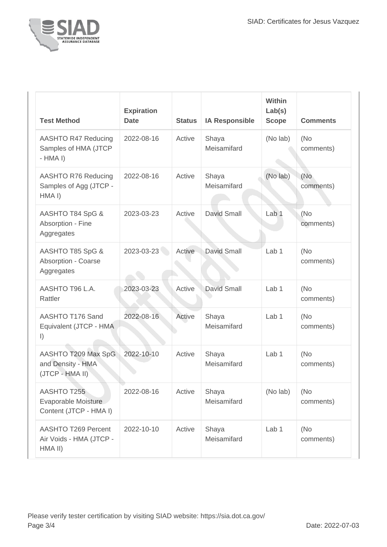

| <b>Test Method</b>                                                  | <b>Expiration</b><br><b>Date</b> | <b>Status</b> | <b>IA Responsible</b> | Within<br>Lab(s)<br><b>Scope</b> | <b>Comments</b>   |
|---------------------------------------------------------------------|----------------------------------|---------------|-----------------------|----------------------------------|-------------------|
| AASHTO R47 Reducing<br>Samples of HMA (JTCP<br>$-HMA I$             | 2022-08-16                       | Active        | Shaya<br>Meisamifard  | (No lab)                         | (No)<br>comments) |
| AASHTO R76 Reducing<br>Samples of Agg (JTCP -<br>HMA <sub>I</sub> ) | 2022-08-16                       | Active        | Shaya<br>Meisamifard  | (No lab)                         | (No<br>comments)  |
| AASHTO T84 SpG &<br>Absorption - Fine<br>Aggregates                 | 2023-03-23                       | Active        | <b>David Small</b>    | Lab <sub>1</sub>                 | (No<br>comments)  |
| AASHTO T85 SpG &<br>Absorption - Coarse<br>Aggregates               | 2023-03-23                       | Active        | <b>David Small</b>    | Lab <sub>1</sub>                 | (No)<br>comments) |
| AASHTO T96 L.A.<br>Rattler                                          | 2023-03-23                       | Active        | <b>David Small</b>    | Lab <sub>1</sub>                 | (No)<br>comments) |
| AASHTO T176 Sand<br>Equivalent (JTCP - HMA<br>$\vert$ )             | 2022-08-16                       | Active        | Shaya<br>Meisamifard  | Lab 1                            | (No)<br>comments) |
| AASHTO T209 Max SpG<br>and Density - HMA<br>(JTCP - HMA II)         | 2022-10-10                       | Active        | Shaya<br>Meisamifard  | Lab 1                            | (No)<br>comments) |
| AASHTO T255<br>Evaporable Moisture<br>Content (JTCP - HMA I)        | 2022-08-16                       | Active        | Shaya<br>Meisamifard  | (No lab)                         | (No)<br>comments) |
| <b>AASHTO T269 Percent</b><br>Air Voids - HMA (JTCP -<br>HMA II)    | 2022-10-10                       | Active        | Shaya<br>Meisamifard  | Lab 1                            | (No)<br>comments) |